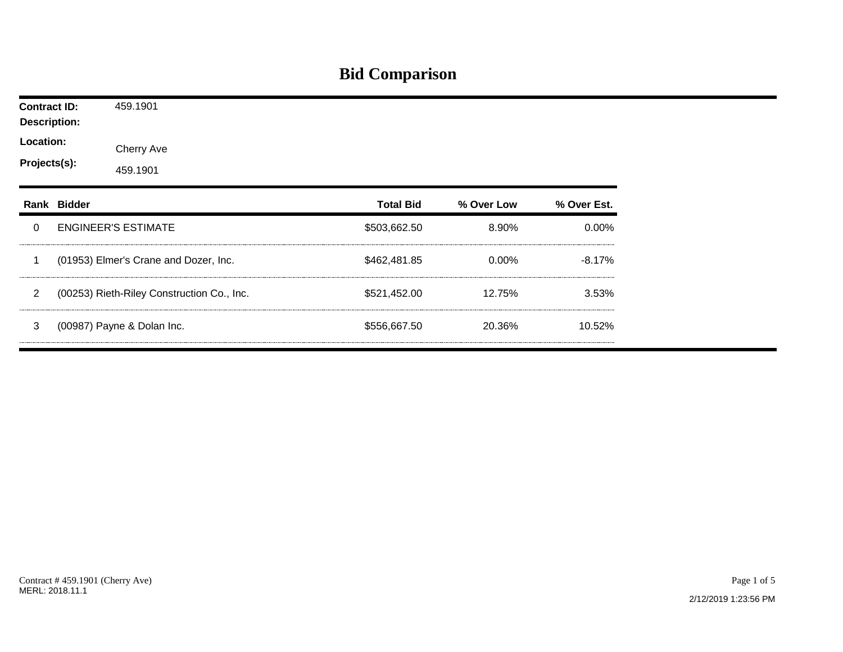## **Bid Comparison**

| <b>Contract ID:</b><br><b>Description:</b> |             | 459.1901                                   |                  |            |             |
|--------------------------------------------|-------------|--------------------------------------------|------------------|------------|-------------|
| Location:<br>Projects(s):                  |             | Cherry Ave<br>459.1901                     |                  |            |             |
|                                            | Rank Bidder |                                            | <b>Total Bid</b> | % Over Low | % Over Est. |
| $\mathbf 0$                                |             | <b>ENGINEER'S ESTIMATE</b>                 | \$503,662.50     | 8.90%      | $0.00\%$    |
| 1                                          |             | (01953) Elmer's Crane and Dozer, Inc.      | \$462,481.85     | $0.00\%$   | $-8.17%$    |
| $\overline{2}$                             |             | (00253) Rieth-Riley Construction Co., Inc. | \$521,452.00     | 12.75%     | 3.53%       |
| 3                                          |             | (00987) Payne & Dolan Inc.                 | \$556,667.50     | 20.36%     | 10.52%      |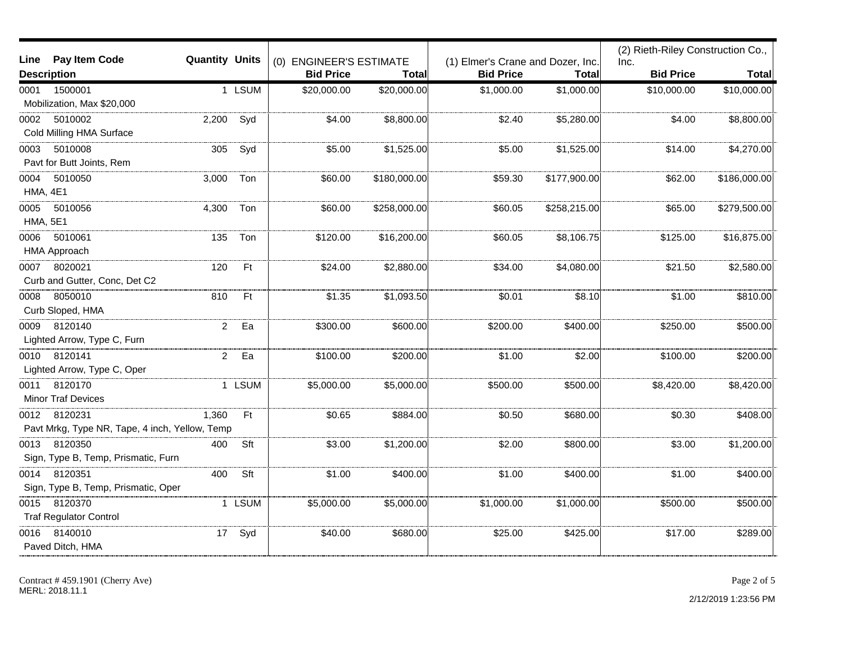|                                                |                       |        |                         |              |                                   |              | (2) Rieth-Riley Construction Co., |              |
|------------------------------------------------|-----------------------|--------|-------------------------|--------------|-----------------------------------|--------------|-----------------------------------|--------------|
| Pay Item Code<br>Line                          | <b>Quantity Units</b> |        | (0) ENGINEER'S ESTIMATE |              | (1) Elmer's Crane and Dozer, Inc. |              | Inc.                              |              |
| <b>Description</b>                             |                       |        | <b>Bid Price</b>        | Total        | <b>Bid Price</b>                  | Total        | <b>Bid Price</b>                  | <b>Total</b> |
| 1500001<br>0001                                |                       | 1 LSUM | \$20,000.00             | \$20,000.00  | \$1,000.00                        | \$1,000.00]  | \$10,000.00                       | \$10,000.00  |
| Mobilization, Max \$20,000                     |                       |        |                         |              |                                   |              |                                   |              |
| 5010002<br>0002                                | 2,200                 | Syd    | \$4.00                  | \$8,800.00   | \$2.40                            | \$5,280.00   | \$4.00                            | \$8,800.00   |
| Cold Milling HMA Surface                       |                       |        |                         |              |                                   |              |                                   |              |
| 5010008<br>0003                                | 305                   | Syd    | \$5.00                  | \$1,525.00   | \$5.00                            | \$1,525.00   | \$14.00                           | \$4,270.00   |
| Pavt for Butt Joints, Rem                      |                       |        |                         |              |                                   |              |                                   |              |
| 0004<br>5010050                                | 3,000                 | Ton    | \$60.00                 | \$180,000.00 | \$59.30                           | \$177,900.00 | \$62.00                           | \$186,000.00 |
| HMA, 4E1                                       |                       |        |                         |              |                                   |              |                                   |              |
| 0005<br>5010056                                | 4,300                 | Ton    | \$60.00                 | \$258,000.00 | \$60.05                           | \$258,215.00 | \$65.00                           | \$279,500.00 |
| <b>HMA, 5E1</b>                                |                       |        |                         |              |                                   |              |                                   |              |
| 0006<br>5010061                                | 135                   | Ton    | \$120.00                | \$16,200.00  | \$60.05                           | \$8,106.75   | \$125.00                          | \$16,875.00  |
| <b>HMA Approach</b>                            |                       |        |                         |              |                                   |              |                                   |              |
| 8020021<br>0007                                | 120                   | Ft     | \$24.00                 | \$2,880.00   | \$34.00                           | \$4,080.00   | \$21.50                           | \$2,580.00   |
| Curb and Gutter, Conc, Det C2                  |                       |        |                         |              |                                   |              |                                   |              |
| 8050010<br>0008                                | 810                   | Ft     | \$1.35                  | \$1,093.50   | \$0.01                            | \$8.10       | \$1.00                            | \$810.00     |
| Curb Sloped, HMA                               |                       |        |                         |              |                                   |              |                                   |              |
| 8120140<br>0009                                | $\overline{2}$        | Ea     | \$300.00                | \$600.00     | \$200.00                          | \$400.00     | \$250.00                          | \$500.00     |
| Lighted Arrow, Type C, Furn                    |                       |        |                         |              |                                   |              |                                   |              |
| 8120141<br>0010                                | $\overline{a}$        | Ea     | \$100.00                | \$200.00     | \$1.00                            | \$2.00       | \$100.00                          | \$200.00     |
| Lighted Arrow, Type C, Oper                    |                       |        |                         |              |                                   |              |                                   |              |
| 8120170<br>0011                                |                       | 1 LSUM | \$5,000.00              | \$5,000.00   | \$500.00                          | \$500.00     | \$8,420.00                        | \$8,420.00   |
| <b>Minor Traf Devices</b>                      |                       |        |                         |              |                                   |              |                                   |              |
| 0012 8120231                                   | 1,360                 | Ft     | \$0.65                  | \$884.00     | \$0.50                            | \$680.00     | \$0.30                            | \$408.00     |
| Pavt Mrkg, Type NR, Tape, 4 inch, Yellow, Temp |                       |        |                         |              |                                   |              |                                   |              |
| 0013<br>8120350                                | 400                   | Sft    | \$3.00                  | \$1,200.00   | \$2.00                            | \$800.00     | \$3.00                            | \$1,200.00   |
| Sign, Type B, Temp, Prismatic, Furn            |                       |        |                         |              |                                   |              |                                   |              |
| 8120351<br>0014                                | 400                   | Sft    | \$1.00                  | \$400.00     | \$1.00                            | \$400.00     | \$1.00                            | \$400.00]    |
| Sign, Type B, Temp, Prismatic, Oper            |                       |        |                         |              |                                   |              |                                   |              |
| 8120370<br>0015                                |                       | 1 LSUM | \$5,000.00              | \$5,000.00   | \$1,000.00                        | \$1,000.00]  | \$500.00                          | \$500.00     |
| <b>Traf Regulator Control</b>                  |                       |        |                         |              |                                   |              |                                   |              |
| 8140010<br>0016                                | 17 <sub>2</sub>       | Syd    | \$40.00                 | \$680.00     | \$25.00                           | \$425.00     | \$17.00                           | \$289.00     |
| Paved Ditch, HMA                               |                       |        |                         |              |                                   |              |                                   |              |
|                                                |                       |        |                         |              |                                   |              |                                   |              |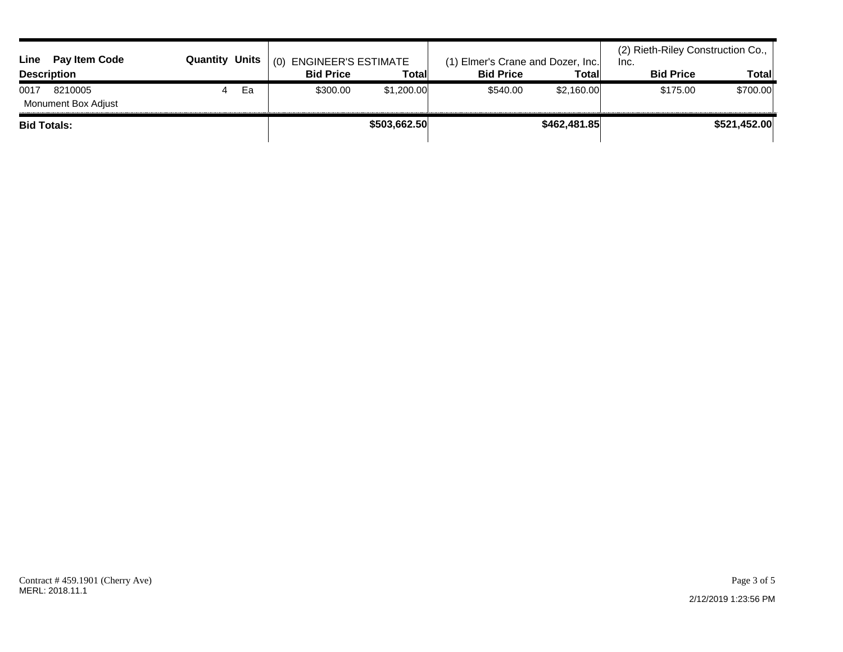| Line<br><b>Pay Item Code</b>           | <b>Quantity Units</b> |    | (0)<br><b>ENGINEER'S ESTIMATE</b> |            | (1) Elmer's Crane and Dozer, Inc. |            | (2) Rieth-Riley Construction Co.,<br>Inc. |          |
|----------------------------------------|-----------------------|----|-----------------------------------|------------|-----------------------------------|------------|-------------------------------------------|----------|
| <b>Description</b>                     |                       |    | <b>Bid Price</b>                  | Total      | <b>Bid Price</b>                  | Total      | <b>Bid Price</b>                          | Total    |
| 0017<br>8210005<br>Monument Box Adjust |                       | Ea | \$300.00                          | \$1,200.00 | \$540.00                          | \$2,160.00 | \$175.00                                  | \$700.00 |
| <b>Bid Totals:</b>                     |                       |    | \$503,662.50                      |            | \$462,481.85                      |            | \$521,452.00                              |          |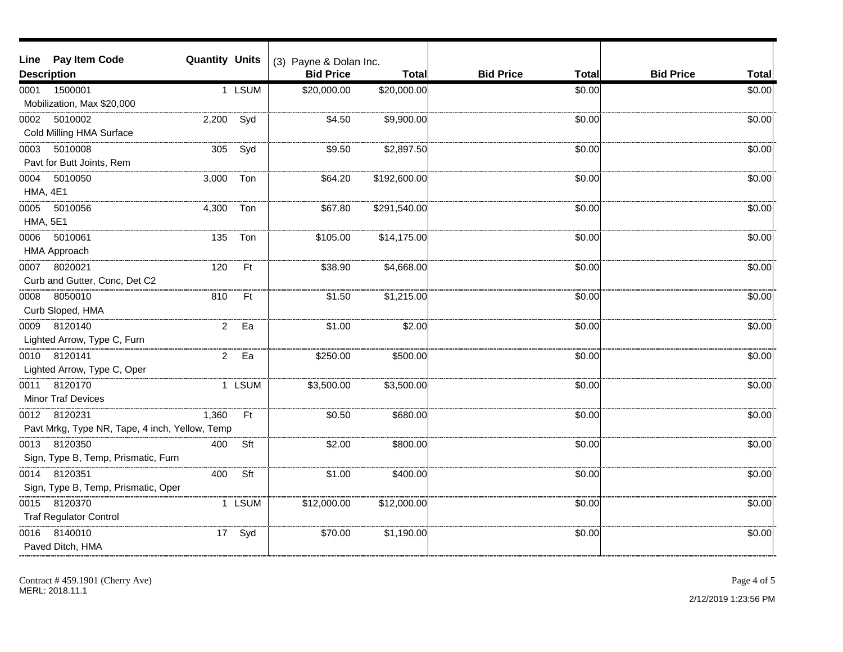| Line                    | <b>Pay Item Code</b>                                           | <b>Quantity Units</b> |           | (3) Payne & Dolan Inc. |              |                                  |                                  |
|-------------------------|----------------------------------------------------------------|-----------------------|-----------|------------------------|--------------|----------------------------------|----------------------------------|
|                         | <b>Description</b>                                             |                       |           | <b>Bid Price</b>       | <b>Total</b> | <b>Bid Price</b><br><b>Total</b> | <b>Bid Price</b><br><b>Total</b> |
| 0001                    | 1500001<br>Mobilization, Max \$20,000                          |                       | 1 LSUM    | \$20,000.00            | \$20,000.00  | \$0.00                           | \$0.00                           |
| 0002                    | 5010002<br>Cold Milling HMA Surface                            | 2,200                 | Syd       | \$4.50                 | \$9,900.00   | \$0.00                           | \$0.00                           |
| 0003                    | 5010008<br>Pavt for Butt Joints, Rem                           | 305                   | Syd       | \$9.50                 | \$2,897.50   | \$0.00                           | \$0.00                           |
| 0004<br><b>HMA, 4E1</b> | 5010050                                                        | 3,000                 | Ton       | \$64.20                | \$192,600.00 | \$0.00                           | \$0.00                           |
| 0005<br><b>HMA, 5E1</b> | 5010056                                                        | 4,300                 | Ton       | \$67.80                | \$291,540.00 | \$0.00                           | \$0.00                           |
| 0006                    | 5010061<br><b>HMA Approach</b>                                 | 135                   | Ton       | \$105.00               | \$14,175.00  | \$0.00                           | \$0.00                           |
| 0007                    | 8020021<br>Curb and Gutter, Conc, Det C2                       | 120                   | Ft        | \$38.90                | \$4,668.00   | \$0.00                           | \$0.00                           |
| 0008                    | 8050010<br>Curb Sloped, HMA                                    | 810                   | Ft        | \$1.50                 | \$1,215.00   | \$0.00                           | \$0.00                           |
| 0009                    | 8120140<br>Lighted Arrow, Type C, Furn                         | $\overline{2}$        | Ea        | \$1.00                 | \$2.00       | \$0.00                           | \$0.00                           |
| 0010                    | 8120141<br>Lighted Arrow, Type C, Oper                         | $\overline{2}$        | Ea        | \$250.00               | \$500.00     | \$0.00                           | \$0.00                           |
|                         | 0011 8120170<br><b>Minor Traf Devices</b>                      |                       | 1 LSUM    | \$3,500.00             | \$3,500.00   | \$0.00                           | \$0.00                           |
|                         | 0012 8120231<br>Pavt Mrkg, Type NR, Tape, 4 inch, Yellow, Temp | 1,360                 | <b>Ft</b> | \$0.50                 | \$680.00     | \$0.00                           | \$0.00                           |
| 0013                    | 8120350<br>Sign, Type B, Temp, Prismatic, Furn                 | 400                   | Sft       | \$2.00                 | \$800.00     | \$0.00                           | \$0.00                           |
| 0014                    | 8120351<br>Sign, Type B, Temp, Prismatic, Oper                 | 400                   | Sft       | \$1.00                 | \$400.00     | \$0.00                           | \$0.00                           |
| 0015                    | 8120370<br><b>Traf Regulator Control</b>                       |                       | 1 LSUM    | \$12,000.00            | \$12,000.00] | \$0.00                           | \$0.00                           |
| 0016                    | 8140010<br>Paved Ditch, HMA                                    | 17                    | Syd       | \$70.00                | \$1,190.00   | \$0.00                           | \$0.00                           |